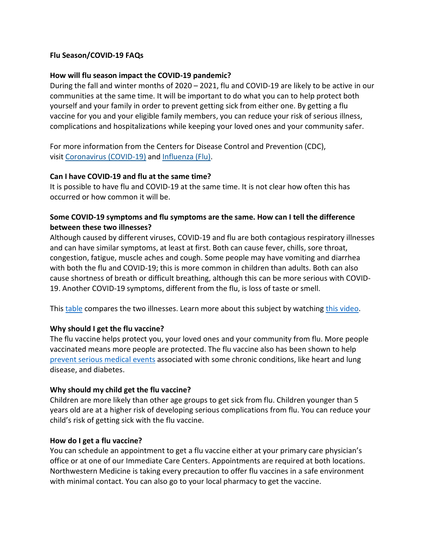#### **Flu Season/COVID-19 FAQs**

#### **How will flu season impact the COVID-19 pandemic?**

During the fall and winter months of 2020 – 2021, flu and COVID-19 are likely to be active in our communities at the same time. It will be important to do what you can to help protect both yourself and your family in order to prevent getting sick from either one. By getting a flu vaccine for you and your eligible family members, you can reduce your risk of serious illness, complications and hospitalizations while keeping your loved ones and your community safer.

For more information from the Centers for Disease Control and Prevention (CDC), visit [Coronavirus \(COVID-19\)](https://www.cdc.gov/coronavirus/2019-ncov/index.html) and [Influenza \(Flu\).](https://www.cdc.gov/flu/index.htm)

#### **Can I have COVID-19 and flu at the same time?**

It is possible to have flu and COVID-19 at the same time. It is not clear how often this has occurred or how common it will be.

# **Some COVID-19 symptoms and flu symptoms are the same. How can I tell the difference between these two illnesses?**

Although caused by different viruses, COVID-19 and flu are both contagious respiratory illnesses and can have similar symptoms, at least at first. Both can cause fever, chills, sore throat, congestion, fatigue, muscle aches and cough. Some people may have vomiting and diarrhea with both the flu and COVID-19; this is more common in children than adults. Both can also cause shortness of breath or difficult breathing, although this can be more serious with COVID-19. Another COVID-19 symptoms, different from the flu, is loss of taste or smell.

This [table](https://www.cdc.gov/flu/symptoms/flu-vs-covid19.htm) compares the two illnesses. Learn more about this subject by watching [this video.](https://www.youtube.com/embed/SFuD8rV41Xc?wmode=transparent&rel=0&autoplay=1)

#### **Why should I get the flu vaccine?**

The flu vaccine helps protect you, your loved ones and your community from flu. More people vaccinated means more people are protected. The flu vaccine also has been shown to help [prevent serious medical events](https://www.cdc.gov/flu/spotlights/2017-2018/vaccine-reduces-risk-severe-illness.htm) associated with some chronic conditions, like heart and lung disease, and diabetes.

#### **Why should my child get the flu vaccine?**

Children are more likely than other age groups to get sick from flu. Children younger than 5 years old are at a higher risk of developing serious complications from flu. You can reduce your child's risk of getting sick with the flu vaccine.

#### **How do I get a flu vaccine?**

You can schedule an appointment to get a flu vaccine either at your primary care physician's office or at one of our Immediate Care Centers. Appointments are required at both locations. Northwestern Medicine is taking every precaution to offer flu vaccines in a safe environment with minimal contact. You can also go to your local pharmacy to get the vaccine.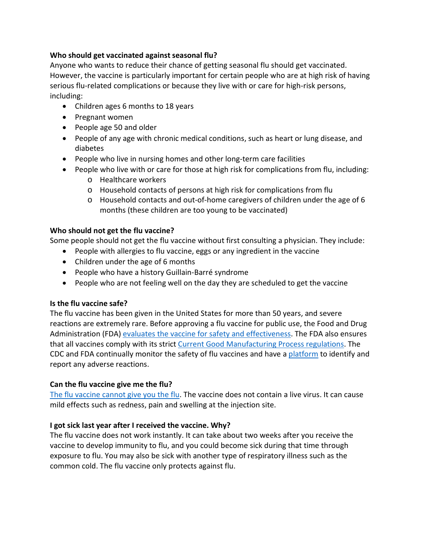# **Who should get vaccinated against seasonal flu?**

Anyone who wants to reduce their chance of getting seasonal flu should get vaccinated. However, the vaccine is particularly important for certain people who are at high risk of having serious flu-related complications or because they live with or care for high-risk persons, including:

- Children ages 6 months to 18 years
- Pregnant women
- People age 50 and older
- People of any age with chronic medical conditions, such as heart or lung disease, and diabetes
- People who live in nursing homes and other long-term care facilities
- People who live with or care for those at high risk for complications from flu, including:
	- o Healthcare workers
	- o Household contacts of persons at high risk for complications from flu
	- o Household contacts and out-of-home caregivers of children under the age of 6 months (these children are too young to be vaccinated)

# **Who should not get the flu vaccine?**

Some people should not get the flu vaccine without first consulting a physician. They include:

- People with allergies to flu vaccine, eggs or any ingredient in the vaccine
- Children under the age of 6 months
- People who have a history Guillain-Barré syndrome
- People who are not feeling well on the day they are scheduled to get the vaccine

# **Is the flu vaccine safe?**

The flu vaccine has been given in the United States for more than 50 years, and severe reactions are extremely rare. Before approving a flu vaccine for public use, the Food and Drug Administration (FDA) evaluates the vaccine [for safety and effectiveness.](https://www.cdc.gov/vaccinesafety/vaccines/flu-vaccine.html) The FDA also ensures that all vaccines comply with its strict [Current Good Manufacturing Process regulations.](https://www.fda.gov/drugs/pharmaceutical-quality-resources/current-good-manufacturing-practice-cgmp-regulations) The CDC and FDA continually monitor the safety of flu vaccines and have a [platform](https://www.cdc.gov/vaccinesafety/ensuringsafety/monitoring/vaers/index.html) to identify and report any adverse reactions.

# **Can the flu vaccine give me the flu?**

[The flu vaccine cannot give you the flu.](https://www.cdc.gov/flu/prevent/misconceptions.htm) The vaccine does not contain a live virus. It can cause mild effects such as redness, pain and swelling at the injection site.

# **I got sick last year after I received the vaccine. Why?**

The flu vaccine does not work instantly. It can take about two weeks after you receive the vaccine to develop immunity to flu, and you could become sick during that time through exposure to flu. You may also be sick with another type of respiratory illness such as the common cold. The flu vaccine only protects against flu.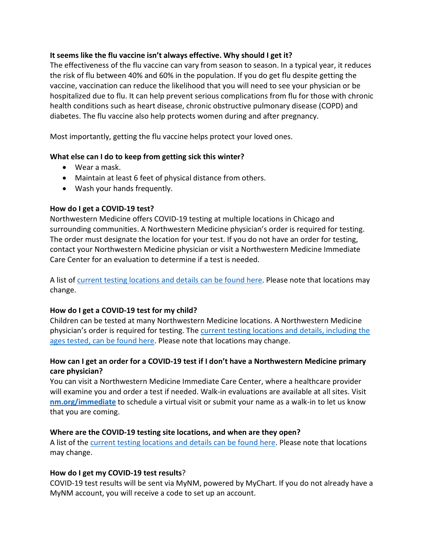#### **It seems like the flu vaccine isn't always effective. Why should I get it?**

The effectiveness of the flu vaccine can vary from season to season. In a typical year, it reduces the risk of flu between 40% and 60% in the population. If you do get flu despite getting the vaccine, vaccination can reduce the likelihood that you will need to see your physician or be hospitalized due to flu. It can help prevent serious complications from flu for those with chronic health conditions such as heart disease, chronic obstructive pulmonary disease (COPD) and diabetes. The flu vaccine also help protects women during and after pregnancy.

Most importantly, getting the flu vaccine helps protect your loved ones.

#### **What else can I do to keep from getting sick this winter?**

- Wear a mask.
- Maintain at least 6 feet of physical distance from others.
- Wash your hands frequently.

#### **How do I get a COVID-19 test?**

Northwestern Medicine offers COVID-19 testing at multiple locations in Chicago and surrounding communities. A Northwestern Medicine physician's order is required for testing. The order must designate the location for your test. If you do not have an order for testing, contact your Northwestern Medicine physician or visit a Northwestern Medicine Immediate Care Center for an evaluation to determine if a test is needed.

A list of current testing locations and details can be found here. Please note that locations may change.

# **How do I get a COVID-19 test for my child?**

Children can be tested at many Northwestern Medicine locations. A Northwestern Medicine physician's order is required for testing. The current testing locations and details, including the ages tested, can be found here. Please note that locations may change.

# **How can I get an order for a COVID-19 test if I don't have a Northwestern Medicine primary care physician?**

You can visit a Northwestern Medicine Immediate Care Center, where a healthcare provider will examine you and order a test if needed. Walk-in evaluations are available at all sites. Visit **[nm.org/immediate](https://www.nm.org/patients-and-visitors/appointments/emergency-and-immediate-care-check-in?utm_source=nm.org%2Fimmediate&utm_medium=vanity&utm_campaign=immediate)** to schedule a virtual visit or submit your name as a walk-in to let us know that you are coming.

# **Where are the COVID-19 testing site locations, and when are they open?**

A list of the current testing locations and details can be found here. Please note that locations may change.

# **How do I get my COVID-19 test results**?

COVID-19 test results will be sent via MyNM, powered by MyChart. If you do not already have a MyNM account, you will receive a code to set up an account.